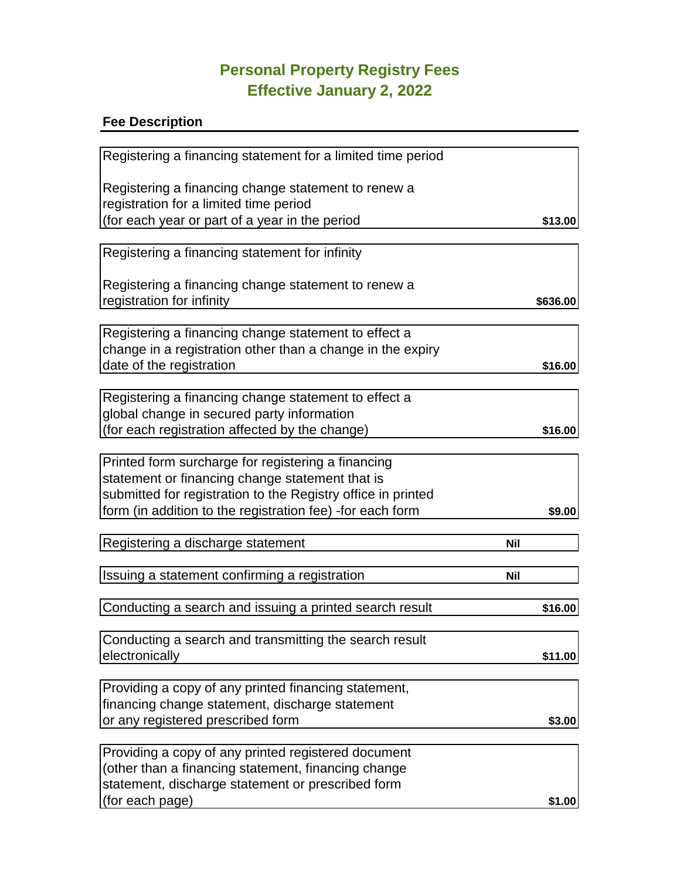## **Personal Property Registry Fees Effective January 2, 2022**

## **Fee Description**

| Registering a financing statement for a limited time period  |            |
|--------------------------------------------------------------|------------|
| Registering a financing change statement to renew a          |            |
| registration for a limited time period                       |            |
| (for each year or part of a year in the period               | \$13.00    |
|                                                              |            |
| Registering a financing statement for infinity               |            |
|                                                              |            |
| Registering a financing change statement to renew a          |            |
| registration for infinity                                    | \$636.00   |
|                                                              |            |
| Registering a financing change statement to effect a         |            |
| change in a registration other than a change in the expiry   |            |
| date of the registration                                     | \$16.00    |
| Registering a financing change statement to effect a         |            |
| global change in secured party information                   |            |
| (for each registration affected by the change)               | \$16.00    |
|                                                              |            |
| Printed form surcharge for registering a financing           |            |
| statement or financing change statement that is              |            |
| submitted for registration to the Registry office in printed |            |
| form (in addition to the registration fee) -for each form    | \$9.00     |
|                                                              |            |
| Registering a discharge statement                            | <b>Nil</b> |
|                                                              |            |
| Issuing a statement confirming a registration                | <b>Nil</b> |
| Conducting a search and issuing a printed search result      | \$16.00    |
|                                                              |            |
| Conducting a search and transmitting the search result       |            |
| electronically                                               | \$11.00    |
|                                                              |            |
| Providing a copy of any printed financing statement,         |            |
| financing change statement, discharge statement              |            |
| or any registered prescribed form                            | \$3.00     |
|                                                              |            |
| Providing a copy of any printed registered document          |            |
| (other than a financing statement, financing change          |            |
| statement, discharge statement or prescribed form            |            |
| (for each page)                                              | \$1.00     |
|                                                              |            |